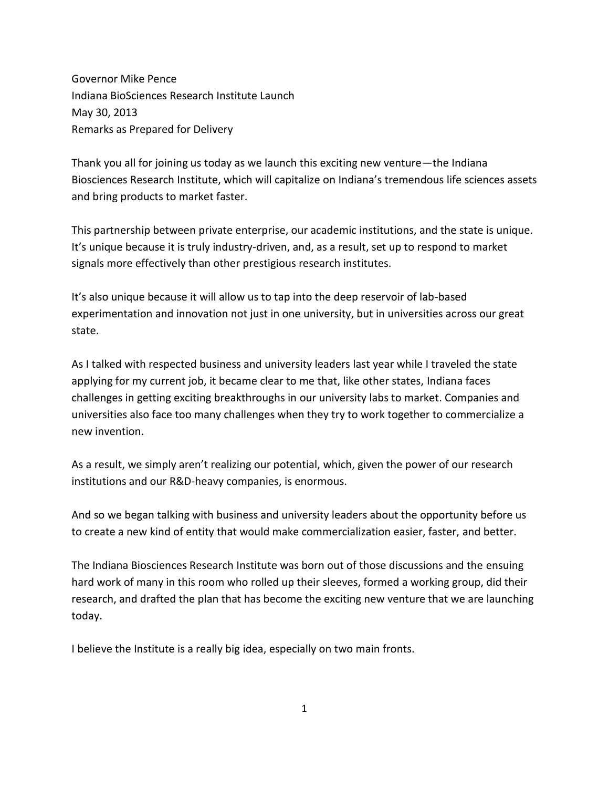Governor Mike Pence Indiana BioSciences Research Institute Launch May 30, 2013 Remarks as Prepared for Delivery

Thank you all for joining us today as we launch this exciting new venture—the Indiana Biosciences Research Institute, which will capitalize on Indiana's tremendous life sciences assets and bring products to market faster.

This partnership between private enterprise, our academic institutions, and the state is unique. It's unique because it is truly industry-driven, and, as a result, set up to respond to market signals more effectively than other prestigious research institutes.

It's also unique because it will allow us to tap into the deep reservoir of lab-based experimentation and innovation not just in one university, but in universities across our great state.

As I talked with respected business and university leaders last year while I traveled the state applying for my current job, it became clear to me that, like other states, Indiana faces challenges in getting exciting breakthroughs in our university labs to market. Companies and universities also face too many challenges when they try to work together to commercialize a new invention.

As a result, we simply aren't realizing our potential, which, given the power of our research institutions and our R&D-heavy companies, is enormous.

And so we began talking with business and university leaders about the opportunity before us to create a new kind of entity that would make commercialization easier, faster, and better.

The Indiana Biosciences Research Institute was born out of those discussions and the ensuing hard work of many in this room who rolled up their sleeves, formed a working group, did their research, and drafted the plan that has become the exciting new venture that we are launching today.

I believe the Institute is a really big idea, especially on two main fronts.